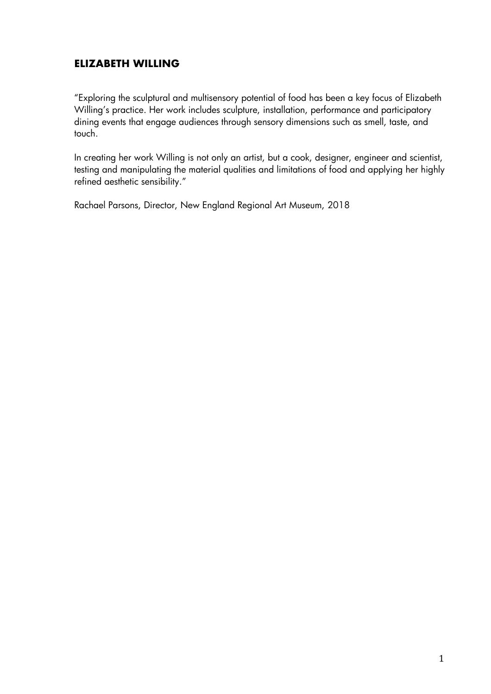# **ELIZABETH WILLING**

"Exploring the sculptural and multisensory potential of food has been a key focus of Elizabeth Willing's practice. Her work includes sculpture, installation, performance and participatory dining events that engage audiences through sensory dimensions such as smell, taste, and touch.

In creating her work Willing is not only an artist, but a cook, designer, engineer and scientist, testing and manipulating the material qualities and limitations of food and applying her highly refined aesthetic sensibility."

Rachael Parsons, Director, New England Regional Art Museum, 2018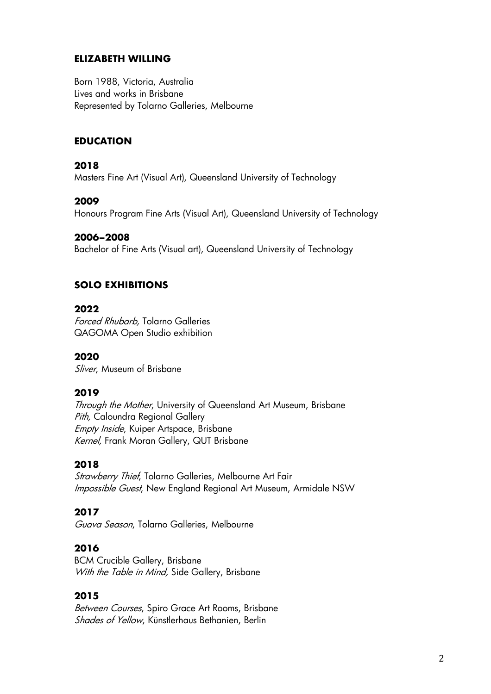#### **ELIZABETH WILLING**

Born 1988, Victoria, Australia Lives and works in Brisbane Represented by Tolarno Galleries, Melbourne

#### **EDUCATION**

#### **2018**

Masters Fine Art (Visual Art), Queensland University of Technology

#### **2009**

Honours Program Fine Arts (Visual Art), Queensland University of Technology

#### **2006–2008**

Bachelor of Fine Arts (Visual art), Queensland University of Technology

#### **SOLO EXHIBITIONS**

#### **2022**

Forced Rhubarb, Tolarno Galleries QAGOMA Open Studio exhibition

#### **2020**

Sliver, Museum of Brisbane

#### **2019**

Through the Mother, University of Queensland Art Museum, Brisbane Pith, Caloundra Regional Gallery Empty Inside, Kuiper Artspace, Brisbane Kernel, Frank Moran Gallery, QUT Brisbane

#### **2018**

Strawberry Thief, Tolarno Galleries, Melbourne Art Fair Impossible Guest, New England Regional Art Museum, Armidale NSW

#### **2017**

Guava Season, Tolarno Galleries, Melbourne

#### **2016**

BCM Crucible Gallery, Brisbane With the Table in Mind, Side Gallery, Brisbane

#### **2015**

Between Courses, Spiro Grace Art Rooms, Brisbane Shades of Yellow, Künstlerhaus Bethanien, Berlin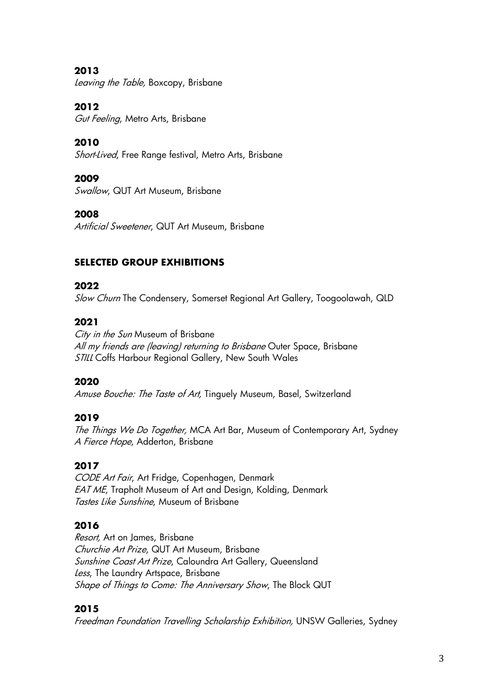**2013** Leaving the Table, Boxcopy, Brisbane

**2012**

Gut Feeling, Metro Arts, Brisbane

**2010** 

Short-Lived, Free Range festival, Metro Arts, Brisbane

## **2009**

Swallow, QUT Art Museum, Brisbane

## **2008**

Artificial Sweetener, QUT Art Museum, Brisbane

# **SELECTED GROUP EXHIBITIONS**

## **2022**

Slow Churn The Condensery, Somerset Regional Art Gallery, Toogoolawah, QLD

## **2021**

City in the Sun Museum of Brisbane All my friends are (leaving) returning to Brisbane Outer Space, Brisbane STILL Coffs Harbour Regional Gallery, New South Wales

# **2020**

Amuse Bouche: The Taste of Art, Tinguely Museum, Basel, Switzerland

## **2019**

The Things We Do Together, MCA Art Bar, Museum of Contemporary Art, Sydney A Fierce Hope, Adderton, Brisbane

# **2017**

CODE Art Fair, Art Fridge, Copenhagen, Denmark EAT ME, Trapholt Museum of Art and Design, Kolding, Denmark Tastes Like Sunshine, Museum of Brisbane

# **2016**

Resort, Art on James, Brisbane Churchie Art Prize, QUT Art Museum, Brisbane Sunshine Coast Art Prize, Caloundra Art Gallery, Queensland Less, The Laundry Artspace, Brisbane Shape of Things to Come: The Anniversary Show, The Block QUT

# **2015**

Freedman Foundation Travelling Scholarship Exhibition, UNSW Galleries, Sydney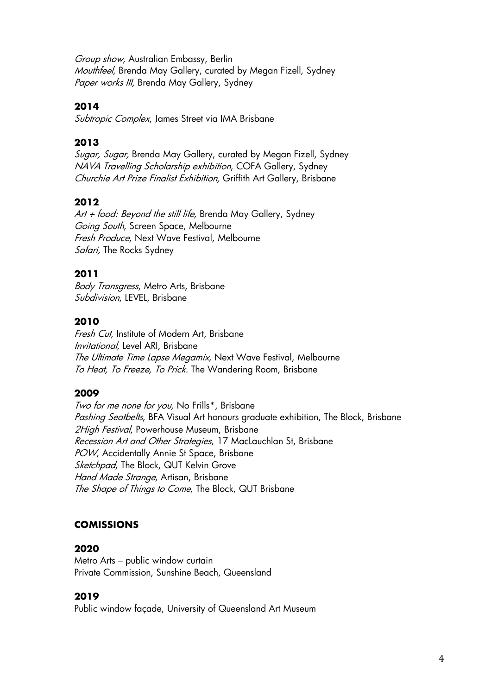Group show, Australian Embassy, Berlin Mouthfeel, Brenda May Gallery, curated by Megan Fizell, Sydney Paper works III, Brenda May Gallery, Sydney

#### **2014**

Subtropic Complex, James Street via IMA Brisbane

#### **2013**

Sugar, Sugar, Brenda May Gallery, curated by Megan Fizell, Sydney NAVA Travelling Scholarship exhibition, COFA Gallery, Sydney Churchie Art Prize Finalist Exhibition, Griffith Art Gallery, Brisbane

### **2012**

 $Art + food: Beyond the still life, Brenda May Gallery, Sydney$ Going South, Screen Space, Melbourne Fresh Produce, Next Wave Festival, Melbourne Safari, The Rocks Sydney

#### **2011**

Body Transgress, Metro Arts, Brisbane Subdivision, LEVEL, Brisbane

### **2010**

Fresh Cut, Institute of Modern Art, Brisbane Invitational, Level ARI, Brisbane The Ultimate Time Lapse Megamix, Next Wave Festival, Melbourne To Heat, To Freeze, To Prick. The Wandering Room, Brisbane

#### **2009**

Two for me none for you, No Frills\*, Brisbane Pashing Seatbelts, BFA Visual Art honours graduate exhibition, The Block, Brisbane 2High Festival, Powerhouse Museum, Brisbane Recession Art and Other Strategies, 17 MacLauchlan St, Brisbane POW, Accidentally Annie St Space, Brisbane Sketchpad, The Block, QUT Kelvin Grove Hand Made Strange, Artisan, Brisbane The Shape of Things to Come, The Block, QUT Brisbane

## **COMISSIONS**

#### **2020**

Metro Arts – public window curtain Private Commission, Sunshine Beach, Queensland

#### **2019**

Public window façade, University of Queensland Art Museum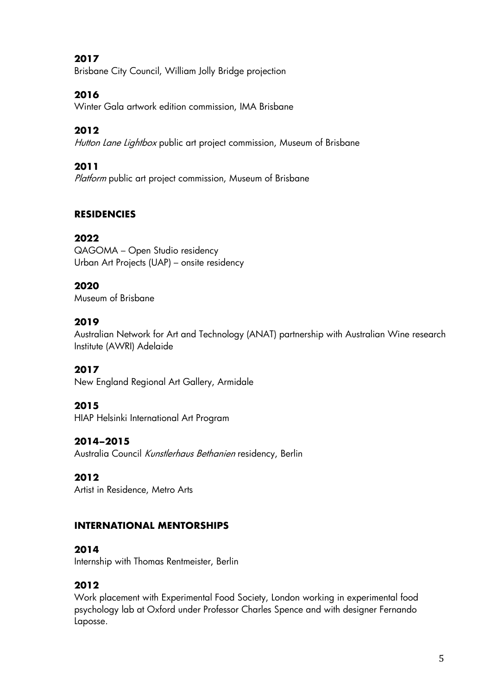## **2017**

Brisbane City Council, William Jolly Bridge projection

## **2016**

Winter Gala artwork edition commission, IMA Brisbane

## **2012**

Hutton Lane Lightbox public art project commission, Museum of Brisbane

## **2011**

Platform public art project commission, Museum of Brisbane

## **RESIDENCIES**

#### **2022**

QAGOMA – Open Studio residency Urban Art Projects (UAP) – onsite residency

#### **2020**

Museum of Brisbane

#### **2019**

Australian Network for Art and Technology (ANAT) partnership with Australian Wine research Institute (AWRI) Adelaide

#### **2017**

New England Regional Art Gallery, Armidale

#### **2015**

HIAP Helsinki International Art Program

#### **2014–2015**

Australia Council Kunstlerhaus Bethanien residency, Berlin

#### **2012**

Artist in Residence, Metro Arts

#### **INTERNATIONAL MENTORSHIPS**

#### **2014**

Internship with Thomas Rentmeister, Berlin

#### **2012**

Work placement with Experimental Food Society, London working in experimental food psychology lab at Oxford under Professor Charles Spence and with designer Fernando Laposse.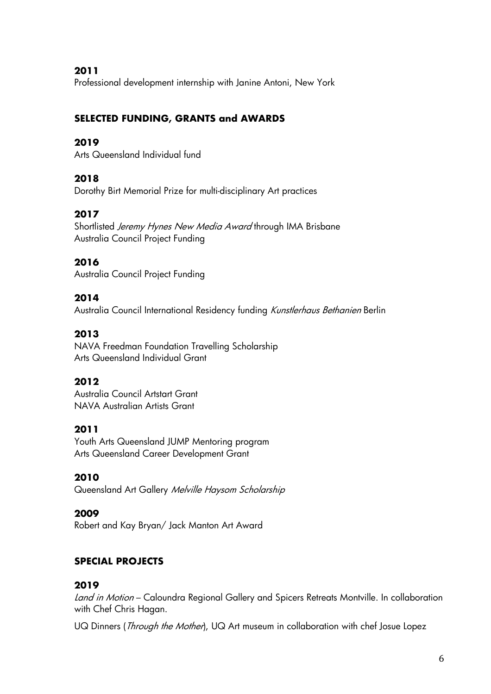**2011**

Professional development internship with Janine Antoni, New York

## **SELECTED FUNDING, GRANTS and AWARDS**

#### **2019**

Arts Queensland Individual fund

### **2018**

Dorothy Birt Memorial Prize for multi-disciplinary Art practices

## **2017**

Shortlisted Jeremy Hynes New Media Award through IMA Brisbane Australia Council Project Funding

### **2016**

Australia Council Project Funding

### **2014**

Australia Council International Residency funding Kunstlerhaus Bethanien Berlin

### **2013**

NAVA Freedman Foundation Travelling Scholarship Arts Queensland Individual Grant

## **2012**

Australia Council Artstart Grant NAVA Australian Artists Grant

#### **2011**

Youth Arts Queensland JUMP Mentoring program Arts Queensland Career Development Grant

#### **2010**

Queensland Art Gallery Melville Haysom Scholarship

#### **2009**

Robert and Kay Bryan/ Jack Manton Art Award

## **SPECIAL PROJECTS**

#### **2019**

Land in Motion – Caloundra Regional Gallery and Spicers Retreats Montville. In collaboration with Chef Chris Hagan.

UQ Dinners (*Through the Mother*), UQ Art museum in collaboration with chef Josue Lopez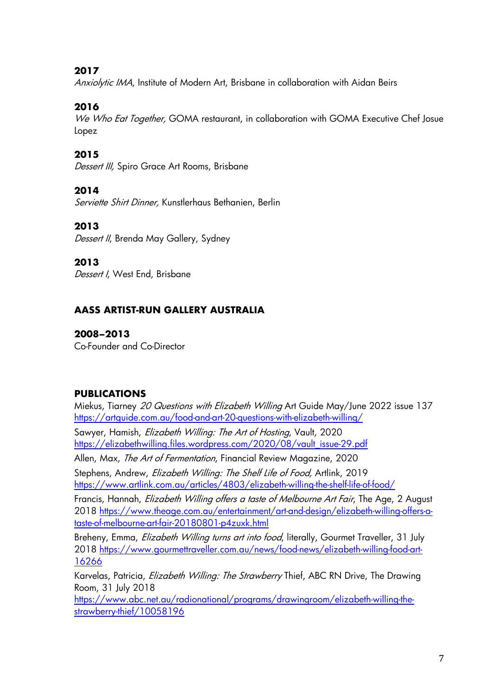### **2017**

Anxiolytic IMA, Institute of Modern Art, Brisbane in collaboration with Aidan Beirs

## **2016**

We Who Eat Together, GOMA restaurant, in collaboration with GOMA Executive Chef Josue Lopez

### **2015**

Dessert III, Spiro Grace Art Rooms, Brisbane

#### **2014**

Serviette Shirt Dinner, Kunstlerhaus Bethanien, Berlin

### **2013**

Dessert II, Brenda May Gallery, Sydney

#### **2013**

Dessert I, West End, Brisbane

## **AASS ARTIST-RUN GALLERY AUSTRALIA**

### **2008–2013**

Co-Founder and Co-Director

#### **PUBLICATIONS**

Miekus, Tiarney 20 Questions with Elizabeth Willing Art Guide May/June 2022 issue 137 https://artguide.com.au/food-and-art-20-questions-with-elizabeth-willing/

Sawyer, Hamish, *Elizabeth Willing: The Art of Hosting*, Vault, 2020 https://elizabethwilling.files.wordpress.com/2020/08/vault\_issue-29.pdf

Allen, Max, The Art of Fermentation, Financial Review Magazine, 2020

Stephens, Andrew, *Elizabeth Willing: The Shelf Life of Food*, Artlink, 2019 https://www.artlink.com.au/articles/4803/elizabeth-willing-the-shelf-life-of-food/

Francis, Hannah, *Elizabeth Willing offers a taste of Melbourne Art Fair*, The Age, 2 August 2018 https://www.theage.com.au/entertainment/art-and-design/elizabeth-willing-offers-ataste-of-melbourne-art-fair-20180801-p4zuxk.html

Breheny, Emma, *Elizabeth Willing turns art into food*, literally, Gourmet Traveller, 31 July 2018 https://www.gourmettraveller.com.au/news/food-news/elizabeth-willing-food-art-16266

Karvelas, Patricia, *Elizabeth Willing: The Strawberry* Thief, ABC RN Drive, The Drawing Room, 31 July 2018

https://www.abc.net.au/radionational/programs/drawingroom/elizabeth-willing-thestrawberry-thief/10058196